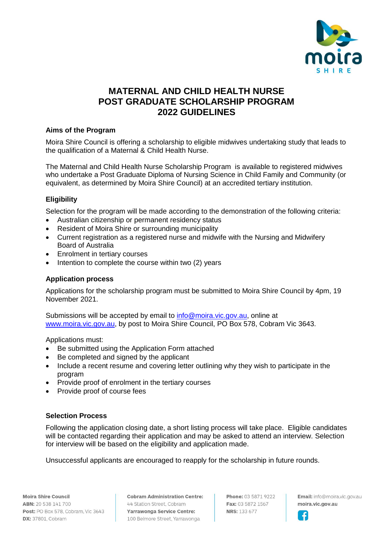

# **MATERNAL AND CHILD HEALTH NURSE POST GRADUATE SCHOLARSHIP PROGRAM 2022 GUIDELINES**

## **Aims of the Program**

Moira Shire Council is offering a scholarship to eligible midwives undertaking study that leads to the qualification of a Maternal & Child Health Nurse.

The Maternal and Child Health Nurse Scholarship Program is available to registered midwives who undertake a Post Graduate Diploma of Nursing Science in Child Family and Community (or equivalent, as determined by Moira Shire Council) at an accredited tertiary institution.

# **Eligibility**

Selection for the program will be made according to the demonstration of the following criteria:

- Australian citizenship or permanent residency status
- Resident of Moira Shire or surrounding municipality
- Current registration as a registered nurse and midwife with the Nursing and Midwifery Board of Australia
- Enrolment in tertiary courses
- Intention to complete the course within two (2) years

## **Application process**

Applications for the scholarship program must be submitted to Moira Shire Council by 4pm, 19 November 2021.

Submissions will be accepted by email to [info@moira.vic.gov.au,](mailto:info@moira.vic.gov.au) online at [www.moira.vic.gov.au,](http://www.moira.vic.gov.au/) by post to Moira Shire Council, PO Box 578, Cobram Vic 3643.

Applications must:

- Be submitted using the Application Form attached
- Be completed and signed by the applicant
- Include a recent resume and covering letter outlining why they wish to participate in the program
- Provide proof of enrolment in the tertiary courses
- Provide proof of course fees

## **Selection Process**

Following the application closing date, a short listing process will take place. Eligible candidates will be contacted regarding their application and may be asked to attend an interview. Selection for interview will be based on the eligibility and application made.

Unsuccessful applicants are encouraged to reapply for the scholarship in future rounds.

Moira Shire Council ABN: 20 538 141 700 Post: PO Box 578, Cobram, Vic 3643 **DX:** 37801, Cobram

**Cobram Administration Centre:** 44 Station Street Cobram Yarrawonga Service Centre: 100 Belmore Street, Yarrawonga

Phone: 03 5871 9222 Fax: 03 5872 1567 **NRS: 133 677** 

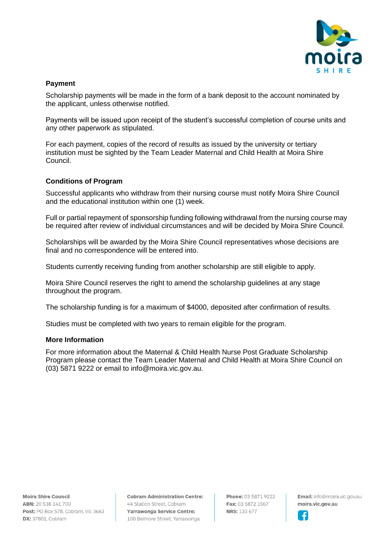

## **Payment**

Scholarship payments will be made in the form of a bank deposit to the account nominated by the applicant, unless otherwise notified.

Payments will be issued upon receipt of the student's successful completion of course units and any other paperwork as stipulated.

For each payment, copies of the record of results as issued by the university or tertiary institution must be sighted by the Team Leader Maternal and Child Health at Moira Shire Council.

## **Conditions of Program**

Successful applicants who withdraw from their nursing course must notify Moira Shire Council and the educational institution within one (1) week.

Full or partial repayment of sponsorship funding following withdrawal from the nursing course may be required after review of individual circumstances and will be decided by Moira Shire Council.

Scholarships will be awarded by the Moira Shire Council representatives whose decisions are final and no correspondence will be entered into.

Students currently receiving funding from another scholarship are still eligible to apply.

Moira Shire Council reserves the right to amend the scholarship guidelines at any stage throughout the program.

The scholarship funding is for a maximum of \$4000, deposited after confirmation of results.

Studies must be completed with two years to remain eligible for the program.

### **More Information**

For more information about the Maternal & Child Health Nurse Post Graduate Scholarship Program please contact the Team Leader Maternal and Child Health at Moira Shire Council on (03) 5871 9222 or email to info@moira.vic.gov.au.

Moira Shire Council ABN: 20 538 141 700 Post: PO Box 578, Cobram, Vic 3643 **DX:** 37801, Cobram

**Cobram Administration Centre:** 44 Station Street Cobram Yarrawonga Service Centre: 100 Belmore Street, Yarrawonga

Phone: 03 5871 9222 Fax: 03 5872 1567 **NRS: 133 677** 

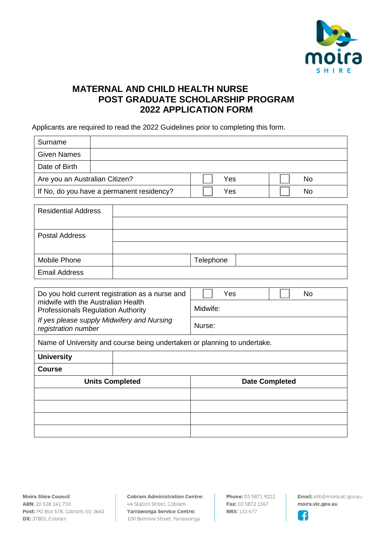

# **MATERNAL AND CHILD HEALTH NURSE POST GRADUATE SCHOLARSHIP PROGRAM 2022 APPLICATION FORM**

Applicants are required to read the 2022 Guidelines prior to completing this form.

| Surname                                   |  |     |    |
|-------------------------------------------|--|-----|----|
| <b>Given Names</b>                        |  |     |    |
| Date of Birth                             |  |     |    |
| Are you an Australian Citizen?            |  | Yes | No |
| If No, do you have a permanent residency? |  | Yes | No |

| <b>Residential Address</b> |           |
|----------------------------|-----------|
|                            |           |
| Postal Address             |           |
|                            |           |
| Mobile Phone               | Telephone |
| <b>Email Address</b>       |           |

| Do you hold current registration as a nurse and<br>midwife with the Australian Health<br><b>Professionals Regulation Authority</b> |  | Yes<br>No.<br>Midwife: |  |  |
|------------------------------------------------------------------------------------------------------------------------------------|--|------------------------|--|--|
| If yes please supply Midwifery and Nursing<br>registration number                                                                  |  | Nurse:                 |  |  |
| Name of University and course being undertaken or planning to undertake.                                                           |  |                        |  |  |
| <b>University</b>                                                                                                                  |  |                        |  |  |
| <b>Course</b>                                                                                                                      |  |                        |  |  |
| <b>Units Completed</b>                                                                                                             |  | <b>Date Completed</b>  |  |  |
|                                                                                                                                    |  |                        |  |  |
|                                                                                                                                    |  |                        |  |  |
|                                                                                                                                    |  |                        |  |  |
|                                                                                                                                    |  |                        |  |  |

**Cobram Administration Centre:** 44 Station Street, Cobram Yarrawonga Service Centre: 100 Belmore Street, Yarrawonga

Phone: 03 5871 9222 Fax: 03 5872 1567 **NRS: 133 677**